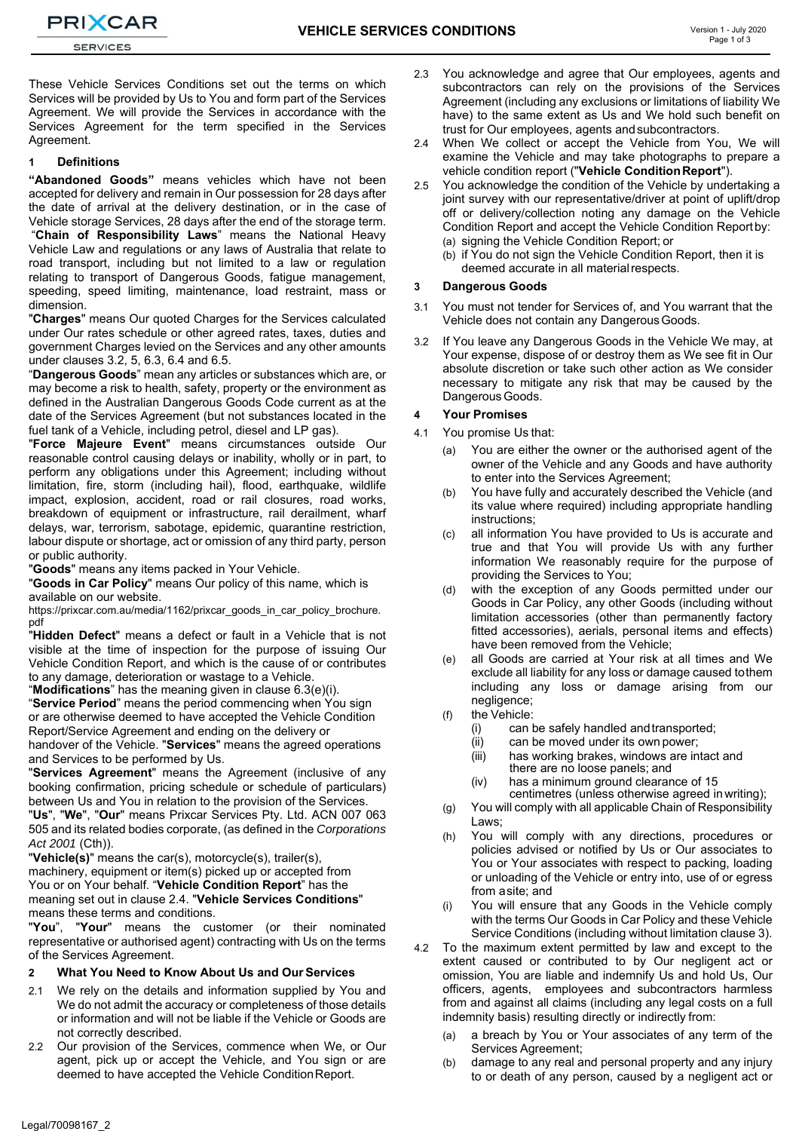**PRIXCAR SERVICES** 

These Vehicle Services Conditions set out the terms on which Services will be provided by Us to You and form part of the Services Agreement. We will provide the Services in accordance with the Services Agreement for the term specified in the Services Agreement.

#### **1 Definitions**

**"Abandoned Goods"** means vehicles which have not been accepted for delivery and remain in Our possession for 28 days after the date of arrival at the delivery destination, or in the case of Vehicle storage Services, 28 days after the end of the storage term.

"**Chain of Responsibility Laws**" means the National Heavy Vehicle Law and regulations or any laws of Australia that relate to road transport, including but not limited to a law or regulation relating to transport of Dangerous Goods, fatigue management, speeding, speed limiting, maintenance, load restraint, mass or dimension.

"**Charges**" means Our quoted Charges for the Services calculated under Our rates schedule or other agreed rates, taxes, duties and government Charges levied on the Services and any other amounts under clauses 3.2, 5, 6.3, 6.4 and 6.5.

"**Dangerous Goods**" mean any articles or substances which are, or may become a risk to health, safety, property or the environment as defined in the Australian Dangerous Goods Code current as at the date of the Services Agreement (but not substances located in the fuel tank of a Vehicle, including petrol, diesel and LP gas).

"**Force Majeure Event**" means circumstances outside Our reasonable control causing delays or inability, wholly or in part, to perform any obligations under this Agreement; including without limitation, fire, storm (including hail), flood, earthquake, wildlife impact, explosion, accident, road or rail closures, road works, breakdown of equipment or infrastructure, rail derailment, wharf delays, war, terrorism, sabotage, epidemic, quarantine restriction, labour dispute or shortage, act or omission of any third party, person or public authority.

"**Goods**" means any items packed in Your Vehicle.

"**Goods in Car Policy**" means Our policy of this name, which is available on our website.

https://prixcar.com.au/media/1162/prixcar\_goods\_in\_car\_policy\_brochure. pdf

"**Hidden Defect**" means a defect or fault in a Vehicle that is not visible at the time of inspection for the purpose of issuing Our Vehicle Condition Report, and which is the cause of or contributes to any damage, deterioration or wastage to a Vehicle.

"**Modifications**" has the meaning given in clause 6.3(e)(i).

"**Service Period**" means the period commencing when You sign or are otherwise deemed to have accepted the Vehicle Condition Report/Service Agreement and ending on the delivery or

handover of the Vehicle. "**Services**" means the agreed operations and Services to be performed by Us.

"**Services Agreement**" means the Agreement (inclusive of any booking confirmation, pricing schedule or schedule of particulars) between Us and You in relation to the provision of the Services.

"**Us**", "**We**", "**Our**" means Prixcar Services Pty. Ltd. ACN 007 063 505 and its related bodies corporate, (as defined in the *Corporations Act 2001* (Cth)).

"**Vehicle(s)**" means the car(s), motorcycle(s), trailer(s), machinery, equipment or item(s) picked up or accepted from You or on Your behalf. "**Vehicle Condition Report**" has the meaning set out in clause 2.4. "**Vehicle Services Conditions**" means these terms and conditions.

"**You**", "**Your**" means the customer (or their nominated representative or authorised agent) contracting with Us on the terms of the Services Agreement.

# **2 What You Need to Know About Us and Our Services**

- We rely on the details and information supplied by You and We do not admit the accuracy or completeness of those details or information and will not be liable if the Vehicle or Goods are not correctly described.
- 2.2 Our provision of the Services, commence when We, or Our agent, pick up or accept the Vehicle, and You sign or are deemed to have accepted the Vehicle Condition Report.
- 2.3 You acknowledge and agree that Our employees, agents and subcontractors can rely on the provisions of the Services Agreement (including any exclusions or limitations of liability We have) to the same extent as Us and We hold such benefit on trust for Our employees, agents and subcontractors.
- 2.4 When We collect or accept the Vehicle from You, We will examine the Vehicle and may take photographs to prepare a vehicle condition report ("**Vehicle Condition Report**").
- 2.5 You acknowledge the condition of the Vehicle by undertaking a joint survey with our representative/driver at point of uplift/drop off or delivery/collection noting any damage on the Vehicle Condition Report and accept the Vehicle Condition Report by: (a) signing the Vehicle Condition Report; or
	- (b) if You do not sign the Vehicle Condition Report, then it is
	- deemed accurate in all material respects.

# **3 Dangerous Goods**

- 3.1 You must not tender for Services of, and You warrant that the Vehicle does not contain any Dangerous Goods.
- 3.2 If You leave any Dangerous Goods in the Vehicle We may, at Your expense, dispose of or destroy them as We see fit in Our absolute discretion or take such other action as We consider necessary to mitigate any risk that may be caused by the Dangerous Goods.

#### **4 Your Promises**

- 4.1 You promise Us that:
	- (a) You are either the owner or the authorised agent of the owner of the Vehicle and any Goods and have authority to enter into the Services Agreement;
	- (b) You have fully and accurately described the Vehicle (and its value where required) including appropriate handling instructions;
	- (c) all information You have provided to Us is accurate and true and that You will provide Us with any further information We reasonably require for the purpose of providing the Services to You;
	- (d) with the exception of any Goods permitted under our Goods in Car Policy, any other Goods (including without limitation accessories (other than permanently factory fitted accessories), aerials, personal items and effects) have been removed from the Vehicle;
	- (e) all Goods are carried at Your risk at all times and We exclude all liability for any loss or damage caused to them including any loss or damage arising from our negligence;
	- (f) the Vehicle:
		- (i) can be safely handled and transported;
		- (ii) can be moved under its own power;
		- (iii) has working brakes, windows are intact and there are no loose panels; and
		- (iv) has a minimum ground clearance of 15 centimetres (unless otherwise agreed in writing);
	- (g) You will comply with all applicable Chain of Responsibility Laws;
	- (h) You will comply with any directions, procedures or policies advised or notified by Us or Our associates to You or Your associates with respect to packing, loading or unloading of the Vehicle or entry into, use of or egress from a site; and
	- (i) You will ensure that any Goods in the Vehicle comply with the terms Our Goods in Car Policy and these Vehicle Service Conditions (including without limitation clause 3).
- 4.2 To the maximum extent permitted by law and except to the extent caused or contributed to by Our negligent act or omission, You are liable and indemnify Us and hold Us, Our officers, agents, employees and subcontractors harmless from and against all claims (including any legal costs on a full indemnity basis) resulting directly or indirectly from:
	- a breach by You or Your associates of any term of the Services Agreement;
	- (b) damage to any real and personal property and any injury to or death of any person, caused by a negligent act or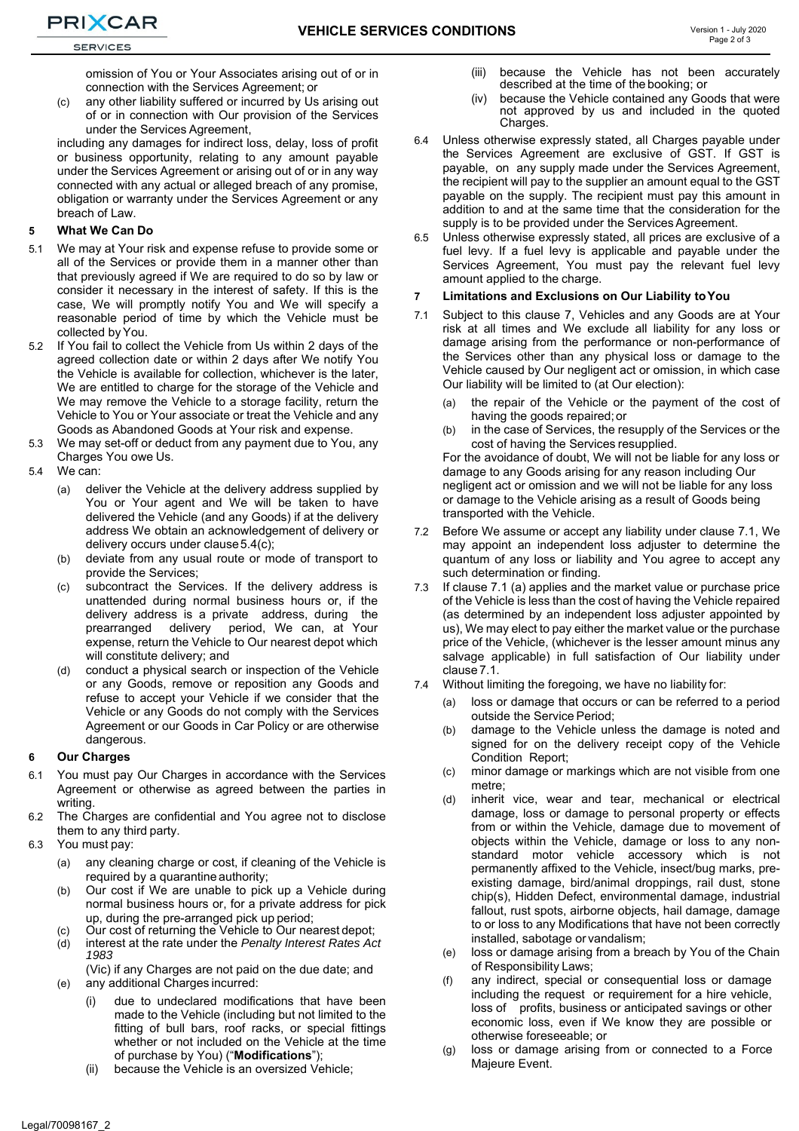omission of You or Your Associates arising out of or in connection with the Services Agreement; or

(c) any other liability suffered or incurred by Us arising out of or in connection with Our provision of the Services under the Services Agreement,

including any damages for indirect loss, delay, loss of profit or business opportunity, relating to any amount payable under the Services Agreement or arising out of or in any way connected with any actual or alleged breach of any promise, obligation or warranty under the Services Agreement or any breach of Law.

#### **5 What We Can Do**

- 5.1 We may at Your risk and expense refuse to provide some or all of the Services or provide them in a manner other than that previously agreed if We are required to do so by law or consider it necessary in the interest of safety. If this is the case, We will promptly notify You and We will specify a reasonable period of time by which the Vehicle must be collected by You.
- 5.2 If You fail to collect the Vehicle from Us within 2 days of the agreed collection date or within 2 days after We notify You the Vehicle is available for collection, whichever is the later, We are entitled to charge for the storage of the Vehicle and We may remove the Vehicle to a storage facility, return the Vehicle to You or Your associate or treat the Vehicle and any Goods as Abandoned Goods at Your risk and expense.
- 5.3 We may set-off or deduct from any payment due to You, any Charges You owe Us.
- 5.4 We can:
	- (a) deliver the Vehicle at the delivery address supplied by You or Your agent and We will be taken to have delivered the Vehicle (and any Goods) if at the delivery address We obtain an acknowledgement of delivery or delivery occurs under clause 5.4(c);
	- (b) deviate from any usual route or mode of transport to provide the Services;
	- (c) subcontract the Services. If the delivery address is unattended during normal business hours or, if the delivery address is a private address, during the prearranged delivery period, We can, at Your expense, return the Vehicle to Our nearest depot which will constitute delivery; and
	- (d) conduct a physical search or inspection of the Vehicle or any Goods, remove or reposition any Goods and refuse to accept your Vehicle if we consider that the Vehicle or any Goods do not comply with the Services Agreement or our Goods in Car Policy or are otherwise dangerous.

#### **6 Our Charges**

- 6.1 You must pay Our Charges in accordance with the Services Agreement or otherwise as agreed between the parties in writing
- 6.2 The Charges are confidential and You agree not to disclose them to any third party.
- 6.3 You must pay:
	- (a) any cleaning charge or cost, if cleaning of the Vehicle is required by a quarantine authority;
	- (b) Our cost if We are unable to pick up a Vehicle during normal business hours or, for a private address for pick up, during the pre-arranged pick up period;
	- (c) Our cost of returning the Vehicle to Our nearest depot;
	- (d) interest at the rate under the *Penalty Interest Rates Act 1983*
	- (Vic) if any Charges are not paid on the due date; and (e) any additional Charges incurred:
		- (i) due to undeclared modifications that have been made to the Vehicle (including but not limited to the fitting of bull bars, roof racks, or special fittings whether or not included on the Vehicle at the time of purchase by You) ("**Modifications**");
		- (ii) because the Vehicle is an oversized Vehicle;
- (iii) because the Vehicle has not been accurately described at the time of the booking; or
- (iv) because the Vehicle contained any Goods that were not approved by us and included in the quoted Charges.
- 6.4 Unless otherwise expressly stated, all Charges payable under the Services Agreement are exclusive of GST. If GST is payable, on any supply made under the Services Agreement, the recipient will pay to the supplier an amount equal to the GST payable on the supply. The recipient must pay this amount in addition to and at the same time that the consideration for the supply is to be provided under the Services Agreement.
- 6.5 Unless otherwise expressly stated, all prices are exclusive of a fuel levy. If a fuel levy is applicable and payable under the Services Agreement, You must pay the relevant fuel levy amount applied to the charge.

#### **7 Limitations and Exclusions on Our Liability to You**

- 7.1 Subject to this clause 7, Vehicles and any Goods are at Your risk at all times and We exclude all liability for any loss or damage arising from the performance or non-performance of the Services other than any physical loss or damage to the Vehicle caused by Our negligent act or omission, in which case Our liability will be limited to (at Our election):
	- (a) the repair of the Vehicle or the payment of the cost of having the goods repaired; or
	- (b) in the case of Services, the resupply of the Services or the cost of having the Services resupplied.

For the avoidance of doubt, We will not be liable for any loss or damage to any Goods arising for any reason including Our negligent act or omission and we will not be liable for any loss or damage to the Vehicle arising as a result of Goods being transported with the Vehicle.

- 7.2 Before We assume or accept any liability under clause 7.1, We may appoint an independent loss adjuster to determine the quantum of any loss or liability and You agree to accept any such determination or finding.
- If clause 7.1 (a) applies and the market value or purchase price of the Vehicle is less than the cost of having the Vehicle repaired (as determined by an independent loss adjuster appointed by us), We may elect to pay either the market value or the purchase price of the Vehicle, (whichever is the lesser amount minus any salvage applicable) in full satisfaction of Our liability under clause 7.1.
- 7.4 Without limiting the foregoing, we have no liability for:
	- (a) loss or damage that occurs or can be referred to a period outside the Service Period;
	- (b) damage to the Vehicle unless the damage is noted and signed for on the delivery receipt copy of the Vehicle Condition Report;
	- (c) minor damage or markings which are not visible from one metre;
	- (d) inherit vice, wear and tear, mechanical or electrical damage, loss or damage to personal property or effects from or within the Vehicle, damage due to movement of objects within the Vehicle, damage or loss to any nonstandard motor vehicle accessory which is not permanently affixed to the Vehicle, insect/bug marks, preexisting damage, bird/animal droppings, rail dust, stone chip(s), Hidden Defect, environmental damage, industrial fallout, rust spots, airborne objects, hail damage, damage to or loss to any Modifications that have not been correctly installed, sabotage or vandalism;
	- (e) loss or damage arising from a breach by You of the Chain of Responsibility Laws;
	- (f) any indirect, special or consequential loss or damage including the request or requirement for a hire vehicle, loss of profits, business or anticipated savings or other economic loss, even if We know they are possible or otherwise foreseeable; or
	- (g) loss or damage arising from or connected to a Force Majeure Event.